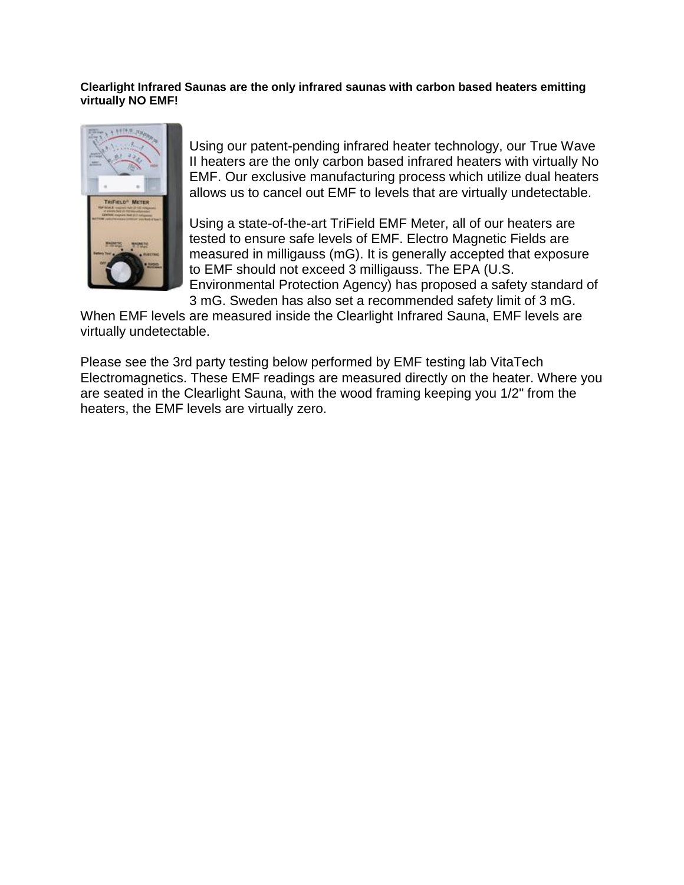#### **Clearlight Infrared Saunas are the only infrared saunas with carbon based heaters emitting virtually NO EMF!**



Using our patent-pending infrared heater technology, our True Wave II heaters are the only carbon based infrared heaters with virtually No EMF. Our exclusive manufacturing process which utilize dual heaters allows us to cancel out EMF to levels that are virtually undetectable.

Using a state-of-the-art TriField EMF Meter, all of our heaters are tested to ensure safe levels of EMF. Electro Magnetic Fields are measured in milligauss (mG). It is generally accepted that exposure to EMF should not exceed 3 milligauss. The EPA (U.S. Environmental Protection Agency) has proposed a safety standard of 3 mG. Sweden has also set a recommended safety limit of 3 mG.

When EMF levels are measured inside the Clearlight Infrared Sauna, EMF levels are virtually undetectable.

Please see the 3rd party testing below performed by EMF testing lab VitaTech Electromagnetics. These EMF readings are measured directly on the heater. Where you are seated in the Clearlight Sauna, with the wood framing keeping you 1/2" from the heaters, the EMF levels are virtually zero.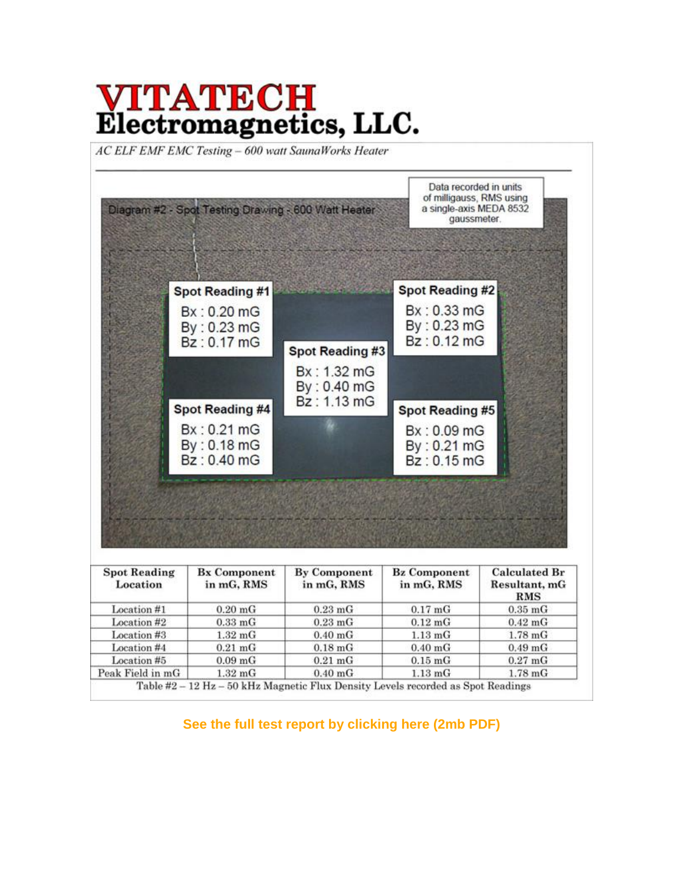# **VITATECH**<br>Electromagnetics, LLC.

AC ELF EMF EMC Testing - 600 watt SaunaWorks Heater

| Diagram #2 - Spot Testing Drawing - 600 Watt Heater                 |                                | Data recorded in units<br>of milligauss, RMS using<br>a single-axis MEDA 8532<br>gaussmeter. |
|---------------------------------------------------------------------|--------------------------------|----------------------------------------------------------------------------------------------|
| Spot Reading #1<br>Bx: 0.20 mG                                      |                                | Spot Reading #2<br>Bx: 0.33 mG                                                               |
| By: 0.23 mG<br>Bz: 0.17 mG                                          | Spot Reading #3<br>Bx: 1.32 mG | By: 0.23 mG<br>Bz: 0.12 mG                                                                   |
| <b>Spot Reading #4</b><br>Bx: 0.21 mG<br>By: 0.18 mG<br>Bz: 0.40 mG | By: 0.40 mG<br>Bz: 1.13 mG     | Spot Reading #5<br>Bx: 0.09 mG<br>By: 0.21 mG<br>Bz: 0.15 mG                                 |
|                                                                     |                                |                                                                                              |

| <b>Spot Reading</b><br>Location | <b>Bx Component</b><br>in mG, RMS | <b>By Component</b><br>in mG, RMS | <b>Bz Component</b><br>in mG, RMS | <b>Calculated Br</b><br>Resultant, mG<br><b>RMS</b> |
|---------------------------------|-----------------------------------|-----------------------------------|-----------------------------------|-----------------------------------------------------|
| Location #1                     | $0.20$ mG                         | $0.23 \text{ mG}$                 | $0.17$ mG                         | $0.35$ m $G$                                        |
| Location #2                     | $0.33$ mG                         | $0.23$ mG                         | $0.12$ m $G$                      | $0.42$ mG                                           |
| Location #3                     | $1.32$ mG                         | $0.40$ mG                         | $1.13 \text{ mG}$                 | $1.78$ mG                                           |
| Location #4                     | $0.21$ mG                         | $0.18$ mG                         | $0.40$ mG                         | $0.49$ mG                                           |
| Location #5                     | 0.09 <sub>mg</sub>                | $0.21$ mG                         | $0.15$ m $G$                      | $0.27$ mG                                           |
| Peak Field in mG                | $1.32$ mG                         | $0.40$ mG                         | $1.13$ mG                         | $1.78$ mG                                           |

**[See the full test report by clicking here \(2mb PDF\)](http://www.healwithheat.com/application/upload/pdf/SaunaWorks%20EMF%20EMC%20Site%20Survey%20Report.pdf)**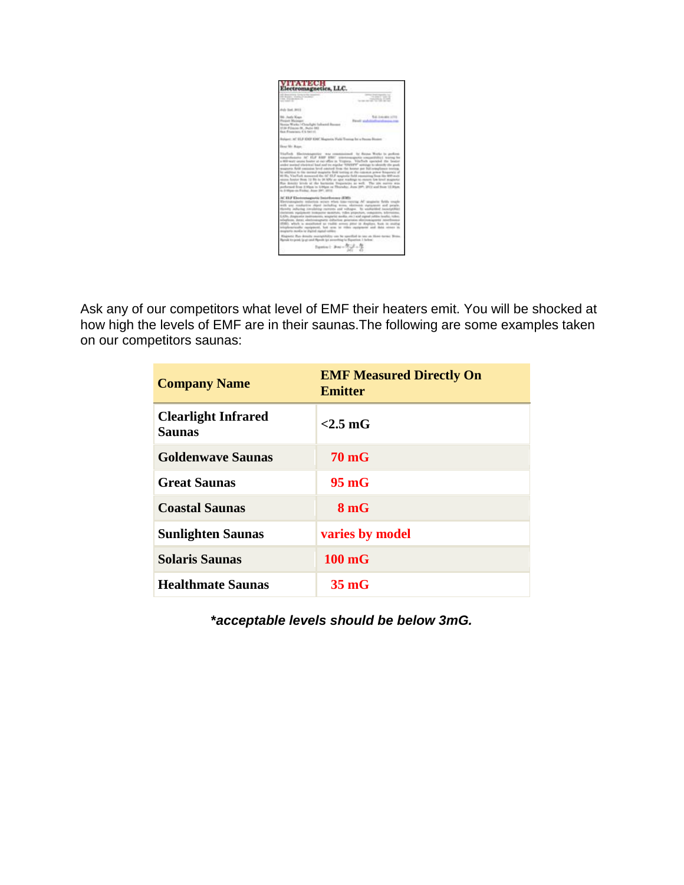

Ask any of our competitors what level of EMF their heaters emit. You will be shocked at how high the levels of EMF are in their saunas.The following are some examples taken on our competitors saunas:

| <b>Company Name</b>                  | <b>EMF Measured Directly On</b><br><b>Emitter</b> |
|--------------------------------------|---------------------------------------------------|
| <b>Clearlight Infrared</b><br>Saunas | $< 2.5$ mG                                        |
| <b>Goldenwave Saunas</b>             | <b>70 mG</b>                                      |
| <b>Great Saunas</b>                  | $95 \,\mathrm{mG}$                                |
| <b>Coastal Saunas</b>                | 8 <sub>m</sub> G                                  |
| <b>Sunlighten Saunas</b>             | varies by model                                   |
| <b>Solaris Saunas</b>                | $100 \text{ mG}$                                  |
| <b>Healthmate Saunas</b>             | $35 \text{ mG}$                                   |

**\****acceptable levels should be below 3mG.*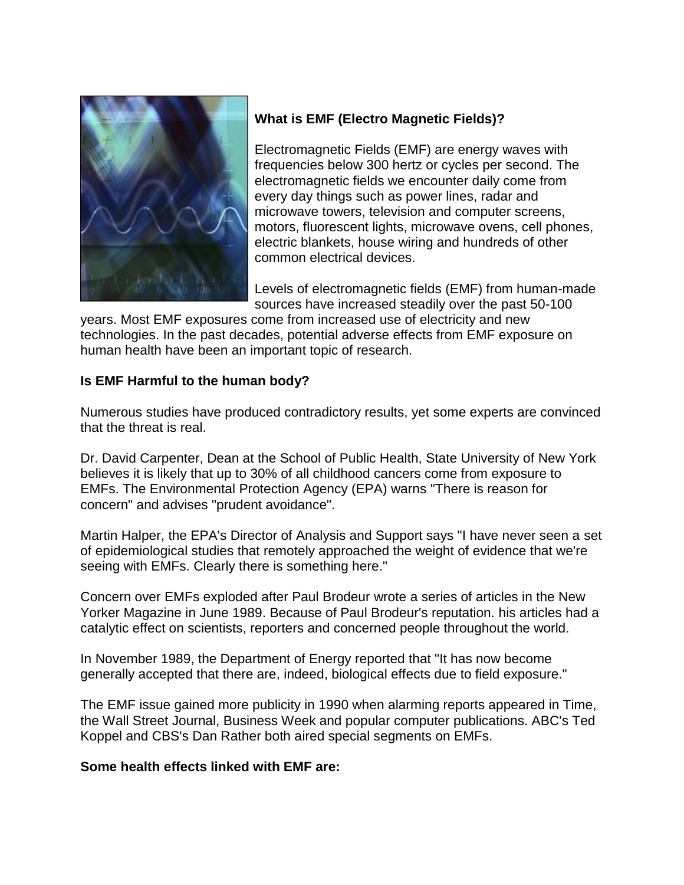

## **What is EMF (Electro Magnetic Fields)?**

Electromagnetic Fields (EMF) are energy waves with frequencies below 300 hertz or cycles per second. The electromagnetic fields we encounter daily come from every day things such as power lines, radar and microwave towers, television and computer screens, motors, fluorescent lights, microwave ovens, cell phones, electric blankets, house wiring and hundreds of other common electrical devices.

Levels of electromagnetic fields (EMF) from human-made sources have increased steadily over the past 50-100

years. Most EMF exposures come from increased use of electricity and new technologies. In the past decades, potential adverse effects from EMF exposure on human health have been an important topic of research.

### **Is EMF Harmful to the human body?**

Numerous studies have produced contradictory results, yet some experts are convinced that the threat is real.

Dr. David Carpenter, Dean at the School of Public Health, State University of New York believes it is likely that up to 30% of all childhood cancers come from exposure to EMFs. The Environmental Protection Agency (EPA) warns "There is reason for concern" and advises "prudent avoidance".

Martin Halper, the EPA's Director of Analysis and Support says "I have never seen a set of epidemiological studies that remotely approached the weight of evidence that we're seeing with EMFs. Clearly there is something here."

Concern over EMFs exploded after Paul Brodeur wrote a series of articles in the New Yorker Magazine in June 1989. Because of Paul Brodeur's reputation. his articles had a catalytic effect on scientists, reporters and concerned people throughout the world.

In November 1989, the Department of Energy reported that "It has now become generally accepted that there are, indeed, biological effects due to field exposure."

The EMF issue gained more publicity in 1990 when alarming reports appeared in Time, the Wall Street Journal, Business Week and popular computer publications. ABC's Ted Koppel and CBS's Dan Rather both aired special segments on EMFs.

#### **Some health effects linked with EMF are:**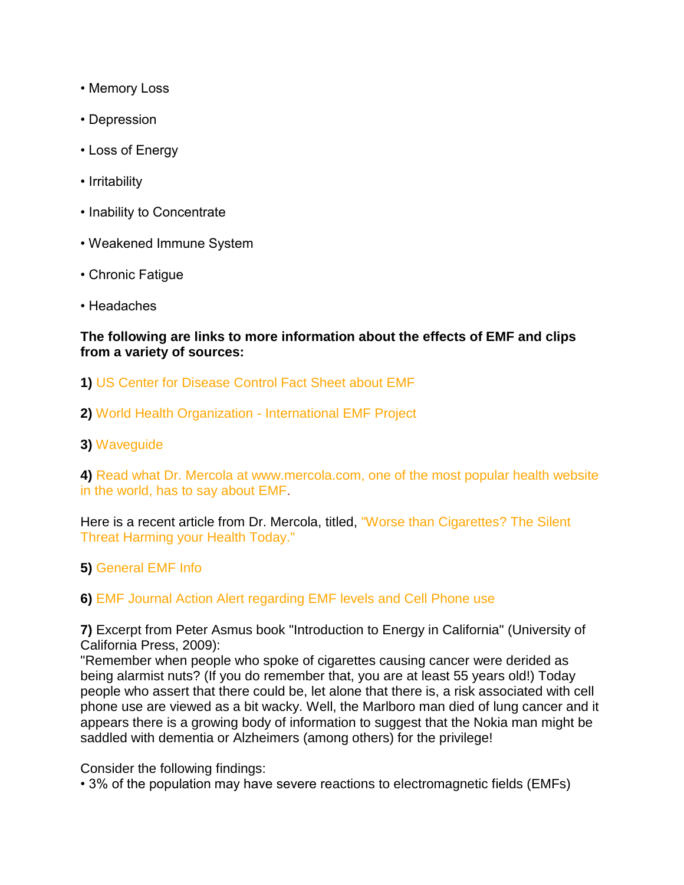- Memory Loss
- Depression
- Loss of Energy
- Irritability
- Inability to Concentrate
- Weakened Immune System
- Chronic Fatigue
- Headaches

#### **The following are links to more information about the effects of EMF and clips from a variety of sources:**

- **1)** [US Center for Disease Control Fact Sheet about EMF](http://www.cdc.gov/niosh/emf2.html)
- **2)** [World Health Organization -](http://www.who.int/peh-emf/en/) International EMF Project
- **3)** [Waveguide](http://www.wave-guide.org/)

**4)** [Read what Dr. Mercola at www.mercola.com, one of the most popular health website](http://www.mercola.com/article/emf/emf_dangers.htm)  [in the world, has to say about EMF.](http://www.mercola.com/article/emf/emf_dangers.htm)

Here is a recent article from Dr. Mercola, titled, ["Worse than Cigarettes? The Silent](http://emf.mercola.com/sites/emf/archive/2011/07/09/vickie-warren-on-effects-of-electromagnetic-fields.aspx)  [Threat Harming your Health Today."](http://emf.mercola.com/sites/emf/archive/2011/07/09/vickie-warren-on-effects-of-electromagnetic-fields.aspx)

**5)** [General EMF Info](http://www.emfs.info/)

### **6)** [EMF Journal Action Alert regarding EMF levels and Cell Phone use](http://emfjournal.com/2011/05/21/proactivity-equals-protection/)

**7)** Excerpt from Peter Asmus book "Introduction to Energy in California" (University of California Press, 2009):

"Remember when people who spoke of cigarettes causing cancer were derided as being alarmist nuts? (If you do remember that, you are at least 55 years old!) Today people who assert that there could be, let alone that there is, a risk associated with cell phone use are viewed as a bit wacky. Well, the Marlboro man died of lung cancer and it appears there is a growing body of information to suggest that the Nokia man might be saddled with dementia or Alzheimers (among others) for the privilege!

Consider the following findings:

• 3% of the population may have severe reactions to electromagnetic fields (EMFs)